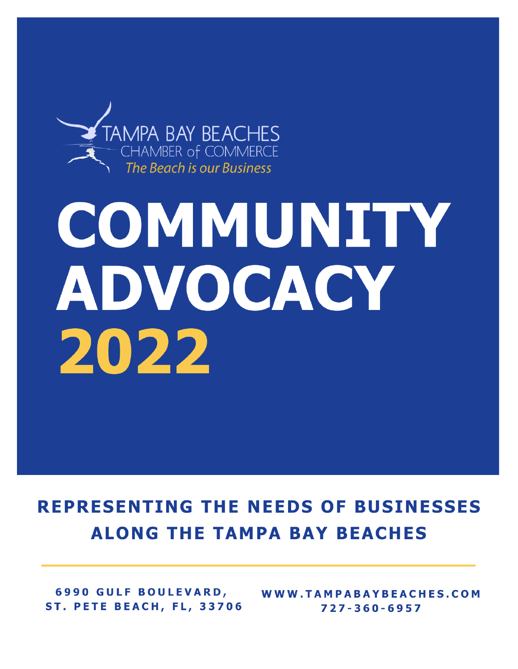

# COMMUNITY ADVOCACY 2022

# **REPRESENTING THE NEEDS OF BUSINESSES ALONG THE TAMPA BAY BEACHES**

**6990 GULF BOULEVARD, ST. PETE BEACH, FL, 33706** 

WWW.TAMPABAYBEACHES.COM 727-360-6957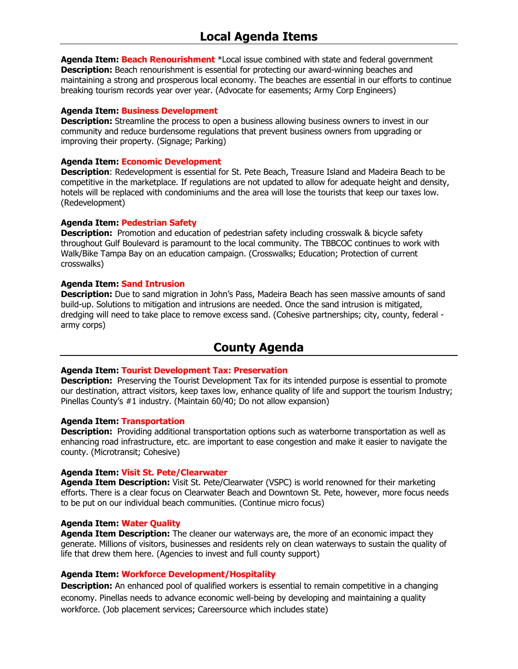**Agenda Item: Beach Renourishment** \*Local issue combined with state and federal government **Description:** Beach renourishment is essential for protecting our award-winning beaches and maintaining a strong and prosperous local economy. The beaches are essential in our efforts to continue breaking tourism records year over year. (Advocate for easements; Army Corp Engineers)

# **Agenda Item: Business Development**

**Description:** Streamline the process to open a business allowing business owners to invest in our community and reduce burdensome regulations that prevent business owners from upgrading or improving their property. (Signage; Parking)

# **Agenda Item: Economic Development**

**Description**: Redevelopment is essential for St. Pete Beach, Treasure Island and Madeira Beach to be competitive in the marketplace. If regulations are not updated to allow for adequate height and density, hotels will be replaced with condominiums and the area will lose the tourists that keep our taxes low. (Redevelopment)

# **Agenda Item: Pedestrian Safety**

**Description:** Promotion and education of pedestrian safety including crosswalk & bicycle safety throughout Gulf Boulevard is paramount to the local community. The TBBCOC continues to work with Walk/Bike Tampa Bay on an education campaign. (Crosswalks; Education; Protection of current crosswalks)

# **Agenda Item: Sand Intrusion**

**Description:** Due to sand migration in John's Pass, Madeira Beach has seen massive amounts of sand build-up. Solutions to mitigation and intrusions are needed. Once the sand intrusion is mitigated, dredging will need to take place to remove excess sand. (Cohesive partnerships; city, county, federal army corps)

# **County Agenda**

# **Agenda Item: Tourist Development Tax: Preservation**

**Description:** Preserving the Tourist Development Tax for its intended purpose is essential to promote our destination, attract visitors, keep taxes low, enhance quality of life and support the tourism Industry; Pinellas County's #1 industry. (Maintain 60/40; Do not allow expansion)

# **Agenda Item: Transportation**

**Description:** Providing additional transportation options such as waterborne transportation as well as enhancing road infrastructure, etc. are important to ease congestion and make it easier to navigate the county. (Microtransit; Cohesive)

# **Agenda Item: Visit St. Pete/Clearwater**

**Agenda Item Description:** Visit St. Pete/Clearwater (VSPC) is world renowned for their marketing efforts. There is a clear focus on Clearwater Beach and Downtown St. Pete, however, more focus needs to be put on our individual beach communities. (Continue micro focus)

# **Agenda Item: Water Quality**

**Agenda Item Description:** The cleaner our waterways are, the more of an economic impact they generate. Millions of visitors, businesses and residents rely on clean waterways to sustain the quality of life that drew them here. (Agencies to invest and full county support)

# **Agenda Item: Workforce Development/Hospitality**

**Description:** An enhanced pool of qualified workers is essential to remain competitive in a changing economy. Pinellas needs to advance economic well-being by developing and maintaining a quality workforce. (Job placement services; Careersource which includes state)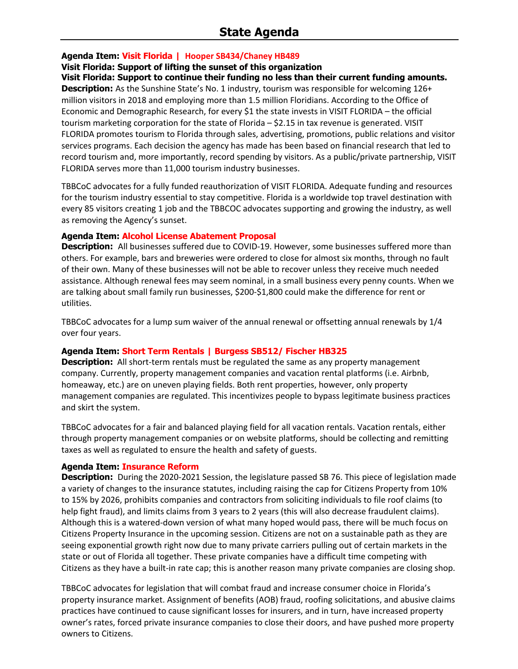# **Agenda Item: Visit Florida | Hooper SB434/Chaney HB489**

# **Visit Florida: Support of lifting the sunset of this organization**

**Visit Florida: Support to continue their funding no less than their current funding amounts.**

**Description:** As the Sunshine State's No. 1 industry, tourism was responsible for welcoming 126+ million visitors in 2018 and employing more than 1.5 million Floridians. According to the Office of Economic and Demographic Research, for every \$1 the state invests in VISIT FLORIDA – the official tourism marketing corporation for the state of Florida – \$2.15 in tax revenue is generated. VISIT FLORIDA promotes tourism to Florida through sales, advertising, promotions, public relations and visitor services programs. Each decision the agency has made has been based on financial research that led to record tourism and, more importantly, record spending by visitors. As a public/private partnership, VISIT FLORIDA serves more than 11,000 tourism industry businesses.

TBBCoC advocates for a fully funded reauthorization of VISIT FLORIDA. Adequate funding and resources for the tourism industry essential to stay competitive. Florida is a worldwide top travel destination with every 85 visitors creating 1 job and the TBBCOC advocates supporting and growing the industry, as well as removing the Agency's sunset.

# **Agenda Item: Alcohol License Abatement Proposal**

**Description:** All businesses suffered due to COVID-19. However, some businesses suffered more than others. For example, bars and breweries were ordered to close for almost six months, through no fault of their own. Many of these businesses will not be able to recover unless they receive much needed assistance. Although renewal fees may seem nominal, in a small business every penny counts. When we are talking about small family run businesses, \$200-\$1,800 could make the difference for rent or utilities.

TBBCoC advocates for a lump sum waiver of the annual renewal or offsetting annual renewals by 1/4 over four years.

# **Agenda Item: Short Term Rentals | Burgess SB512/ Fischer HB325**

**Description:** All short-term rentals must be regulated the same as any property management company. Currently, property management companies and vacation rental platforms (i.e. Airbnb, homeaway, etc.) are on uneven playing fields. Both rent properties, however, only property management companies are regulated. This incentivizes people to bypass legitimate business practices and skirt the system.

TBBCoC advocates for a fair and balanced playing field for all vacation rentals. Vacation rentals, either through property management companies or on website platforms, should be collecting and remitting taxes as well as regulated to ensure the health and safety of guests.

# **Agenda Item: Insurance Reform**

**Description:** During the 2020-2021 Session, the legislature passed SB 76. This piece of legislation made a variety of changes to the insurance statutes, including raising the cap for Citizens Property from 10% to 15% by 2026, prohibits companies and contractors from soliciting individuals to file roof claims (to help fight fraud), and limits claims from 3 years to 2 years (this will also decrease fraudulent claims). Although this is a watered-down version of what many hoped would pass, there will be much focus on Citizens Property Insurance in the upcoming session. Citizens are not on a sustainable path as they are seeing exponential growth right now due to many private carriers pulling out of certain markets in the state or out of Florida all together. These private companies have a difficult time competing with Citizens as they have a built-in rate cap; this is another reason many private companies are closing shop.

TBBCoC advocates for legislation that will combat fraud and increase consumer choice in Florida's property insurance market. Assignment of benefits (AOB) fraud, roofing solicitations, and abusive claims practices have continued to cause significant losses for insurers, and in turn, have increased property owner's rates, forced private insurance companies to close their doors, and have pushed more property owners to Citizens.